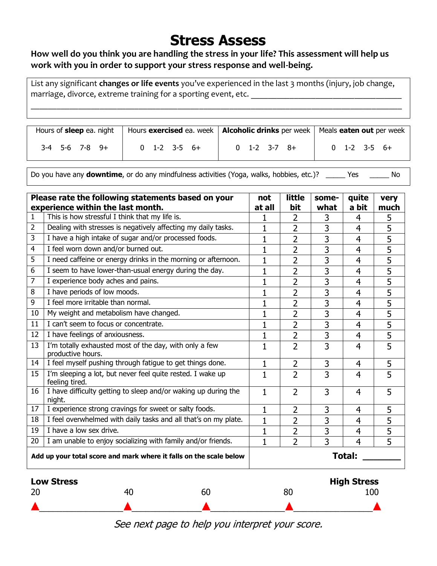# **Stress Assess**

## **How well do you think you are handling the stress in your life? This assessment will help us work with you in order to support your stress response and well-being.**

List any significant **changes or life events** you've experienced in the last 3 months (injury, job change, marriage, divorce, extreme training for a sporting event, etc.

\_\_\_\_\_\_\_\_\_\_\_\_\_\_\_\_\_\_\_\_\_\_\_\_\_\_\_\_\_\_\_\_\_\_\_\_\_\_\_\_\_\_\_\_\_\_\_\_\_\_\_\_\_\_\_\_\_\_\_\_\_\_\_\_\_\_\_\_\_\_\_\_\_\_\_\_\_\_\_\_\_\_\_\_\_\_

| Hours of <b>sleep</b> ea. night |                | Hours exercised ea. week   Alcoholic drinks per week   Meals eaten out per week |                |
|---------------------------------|----------------|---------------------------------------------------------------------------------|----------------|
| $3-4$ 5-6 7-8 9+                | $0$ 1-2 3-5 6+ | $0$ 1-2 3-7 8+                                                                  | $0$ 1-2 3-5 6+ |

Do you have any **downtime**, or do any mindfulness activities (Yoga, walks, hobbies, etc.)? \_\_\_\_\_ Yes \_\_\_\_\_ No

| Please rate the following statements based on your                 |                                                                              |              | little         | some-          | quite          | very           |  |
|--------------------------------------------------------------------|------------------------------------------------------------------------------|--------------|----------------|----------------|----------------|----------------|--|
|                                                                    | experience within the last month.                                            | at all       | bit            | what           | a bit          | much           |  |
| 1                                                                  | This is how stressful I think that my life is.                               | 1            | $\overline{2}$ | 3              | 4              | 5              |  |
| 2                                                                  | Dealing with stresses is negatively affecting my daily tasks.                | 1            | 2              | 3              | 4              | 5              |  |
| 3                                                                  | I have a high intake of sugar and/or processed foods.                        | $\mathbf{1}$ | 2              | $\overline{3}$ | 4              | 5              |  |
| 4                                                                  | I feel worn down and/or burned out.                                          |              | $\overline{2}$ | 3              | 4              | 5              |  |
| 5                                                                  | I need caffeine or energy drinks in the morning or afternoon.                | $\mathbf{1}$ | $\overline{2}$ | 3              | 4              | 5              |  |
| 6                                                                  | I seem to have lower-than-usual energy during the day.                       | 1            | 2              | 3              | 4              | 5              |  |
| 7                                                                  | I experience body aches and pains.                                           | $\mathbf{1}$ | $\overline{2}$ | $\overline{3}$ | $\overline{4}$ | $\overline{5}$ |  |
| 8                                                                  | I have periods of low moods.                                                 | $\mathbf{1}$ | $\overline{2}$ | 3              | 4              | 5              |  |
| 9                                                                  | I feel more irritable than normal.                                           | 1            | 2              | 3              | $\overline{4}$ | 5              |  |
| 10                                                                 | My weight and metabolism have changed.                                       | $\mathbf{1}$ | $\overline{2}$ | 3              | $\overline{4}$ | 5              |  |
| 11                                                                 | I can't seem to focus or concentrate.                                        | $\mathbf{1}$ | $\overline{2}$ | $\overline{3}$ | 4              | 5              |  |
| 12                                                                 | I have feelings of anxiousness.                                              | 1            | $\overline{2}$ | 3              | 4              | 5              |  |
| 13                                                                 | I'm totally exhausted most of the day, with only a few<br>productive hours.  | $\mathbf{1}$ | $\overline{2}$ | 3              | 4              | 5              |  |
| 14                                                                 | I feel myself pushing through fatigue to get things done.                    | $\mathbf{1}$ | $\overline{2}$ | 3              | 4              | 5              |  |
| 15                                                                 | I'm sleeping a lot, but never feel quite rested. I wake up<br>feeling tired. | $\mathbf{1}$ | $\overline{2}$ | 3              | 4              | 5              |  |
| 16                                                                 | I have difficulty getting to sleep and/or waking up during the<br>night.     | $\mathbf{1}$ | $\overline{2}$ | 3              | 4              | 5              |  |
| 17                                                                 | I experience strong cravings for sweet or salty foods.                       | $\mathbf{1}$ | 2              | 3              | $\overline{4}$ | 5              |  |
| 18                                                                 | I feel overwhelmed with daily tasks and all that's on my plate.              | $\mathbf{1}$ | $\overline{2}$ | 3              | $\overline{4}$ | 5              |  |
| 19                                                                 | I have a low sex drive.                                                      | $\mathbf{1}$ | $\overline{2}$ | 3              | 4              | 5              |  |
| 20                                                                 | I am unable to enjoy socializing with family and/or friends.                 | 1            | $\overline{2}$ | 3              | 4              | 5              |  |
| Add up your total score and mark where it falls on the scale below |                                                                              |              | Total:         |                |                |                |  |
| <b>Low Stress</b><br><b>High Stress</b>                            |                                                                              |              |                |                |                |                |  |
| 20                                                                 | 40<br>60                                                                     |              | 80             |                | 100            |                |  |

See next page to help you interpret your score.

\_\_\_\_\_\_\_\_\_\_\_\_\_\_\_\_\_\_ \_\_\_\_\_\_\_\_\_\_\_\_\_\_\_ \_\_\_\_\_\_\_\_\_\_\_\_\_\_\_\_ \_\_\_\_\_\_\_\_\_\_\_\_\_\_\_\_\_